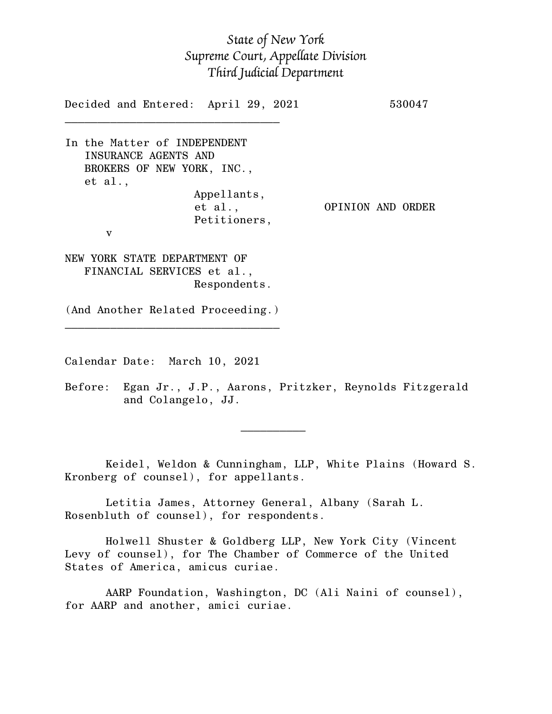## *State of New York Supreme Court, Appellate Division Third Judicial Department*

Decided and Entered: April 29, 2021 530047

In the Matter of INDEPENDENT INSURANCE AGENTS AND BROKERS OF NEW YORK, INC., et al., Appellants, Petitioners, v

 $\mathcal{L}_\text{max}$ 

et al., OPINION AND ORDER

NEW YORK STATE DEPARTMENT OF FINANCIAL SERVICES et al., Respondents.

(And Another Related Proceeding.)  $\mathcal{L}_\text{max}$  , and the set of the set of the set of the set of the set of the set of the set of the set of the set of the set of the set of the set of the set of the set of the set of the set of the set of the set of the

Calendar Date: March 10, 2021

 $\mathcal{L}_\text{max}$  and  $\mathcal{L}_\text{max}$  are the set of  $\mathcal{L}_\text{max}$  . The set of  $\mathcal{L}_\text{max}$ 

Before: Egan Jr., J.P., Aarons, Pritzker, Reynolds Fitzgerald and Colangelo, JJ.

Keidel, Weldon & Cunningham, LLP, White Plains (Howard S. Kronberg of counsel), for appellants.

Letitia James, Attorney General, Albany (Sarah L. Rosenbluth of counsel), for respondents.

Holwell Shuster & Goldberg LLP, New York City (Vincent Levy of counsel), for The Chamber of Commerce of the United States of America, amicus curiae.

AARP Foundation, Washington, DC (Ali Naini of counsel), for AARP and another, amici curiae.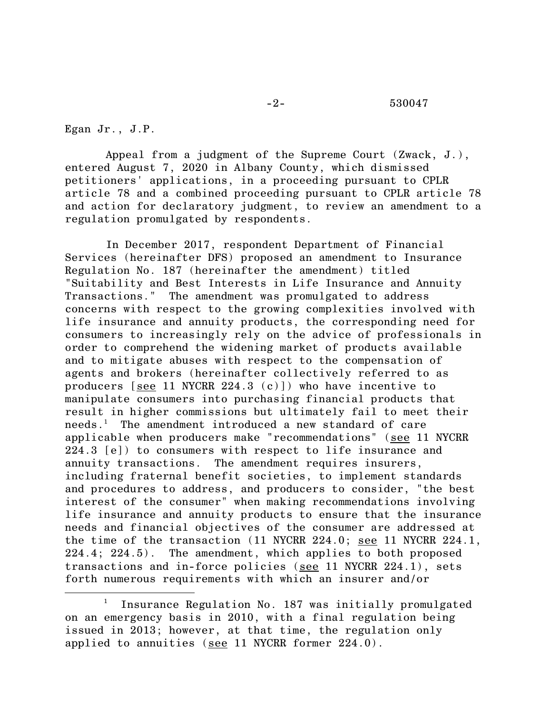Egan Jr., J.P.

Appeal from a judgment of the Supreme Court (Zwack, J.), entered August 7, 2020 in Albany County, which dismissed petitioners' applications, in a proceeding pursuant to CPLR article 78 and a combined proceeding pursuant to CPLR article 78 and action for declaratory judgment, to review an amendment to a regulation promulgated by respondents.

In December 2017, respondent Department of Financial Services (hereinafter DFS) proposed an amendment to Insurance Regulation No. 187 (hereinafter the amendment) titled "Suitability and Best Interests in Life Insurance and Annuity Transactions." The amendment was promulgated to address concerns with respect to the growing complexities involved with life insurance and annuity products, the corresponding need for consumers to increasingly rely on the advice of professionals in order to comprehend the widening market of products available and to mitigate abuses with respect to the compensation of agents and brokers (hereinafter collectively referred to as producers [see 11 NYCRR 224.3 (c)]) who have incentive to manipulate consumers into purchasing financial products that result in higher commissions but ultimately fail to meet their needs. <sup>1</sup> The amendment introduced a new standard of care applicable when producers make "recommendations" (see 11 NYCRR 224.3 [e]) to consumers with respect to life insurance and annuity transactions. The amendment requires insurers, including fraternal benefit societies, to implement standards and procedures to address, and producers to consider, "the best interest of the consumer" when making recommendations involving life insurance and annuity products to ensure that the insurance needs and financial objectives of the consumer are addressed at the time of the transaction (11 NYCRR 224.0; see 11 NYCRR 224.1, 224.4; 224.5). The amendment, which applies to both proposed transactions and in-force policies (see 11 NYCRR 224.1), sets forth numerous requirements with which an insurer and/or

<sup>&</sup>lt;sup>1</sup> Insurance Regulation No. 187 was initially promulgated on an emergency basis in 2010, with a final regulation being issued in 2013; however, at that time, the regulation only applied to annuities (see 11 NYCRR former 224.0).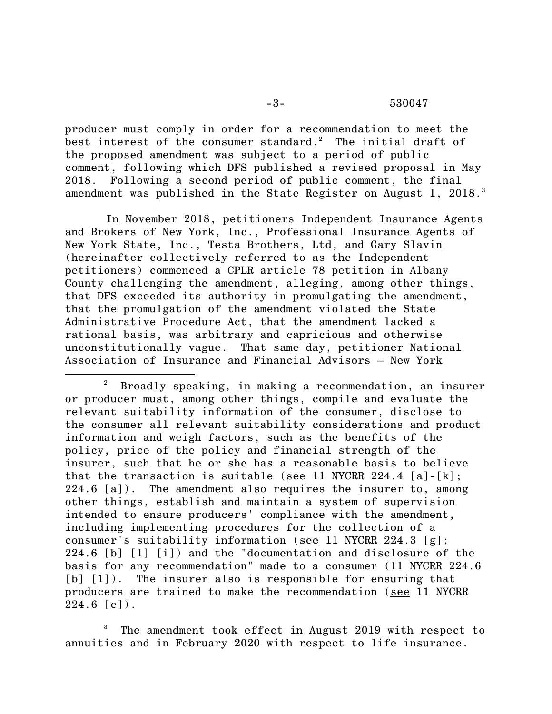producer must comply in order for a recommendation to meet the best interest of the consumer standard. <sup>2</sup> The initial draft of the proposed amendment was subject to a period of public comment, following which DFS published a revised proposal in May 2018. Following a second period of public comment, the final amendment was published in the State Register on August 1, 2018.<sup>3</sup>

In November 2018, petitioners Independent Insurance Agents and Brokers of New York, Inc., Professional Insurance Agents of New York State, Inc., Testa Brothers, Ltd, and Gary Slavin (hereinafter collectively referred to as the Independent petitioners) commenced a CPLR article 78 petition in Albany County challenging the amendment, alleging, among other things, that DFS exceeded its authority in promulgating the amendment, that the promulgation of the amendment violated the State Administrative Procedure Act, that the amendment lacked a rational basis, was arbitrary and capricious and otherwise unconstitutionally vague. That same day, petitioner National Association of Insurance and Financial Advisors – New York

The amendment took effect in August 2019 with respect to annuities and in February 2020 with respect to life insurance.

<sup>2</sup> Broadly speaking, in making a recommendation, an insurer or producer must, among other things, compile and evaluate the relevant suitability information of the consumer, disclose to the consumer all relevant suitability considerations and product information and weigh factors, such as the benefits of the policy, price of the policy and financial strength of the insurer, such that he or she has a reasonable basis to believe that the transaction is suitable (see 11 NYCRR 224.4  $[a] - [k]$ ;  $224.6$  [a]). The amendment also requires the insurer to, among other things, establish and maintain a system of supervision intended to ensure producers' compliance with the amendment, including implementing procedures for the collection of a consumer's suitability information (see 11 NYCRR 224.3 [g]; 224.6 [b] [1] [i]) and the "documentation and disclosure of the basis for any recommendation" made to a consumer (11 NYCRR 224.6 [b]  $[1]$ ). The insurer also is responsible for ensuring that producers are trained to make the recommendation (see 11 NYCRR  $224.6$  [e]).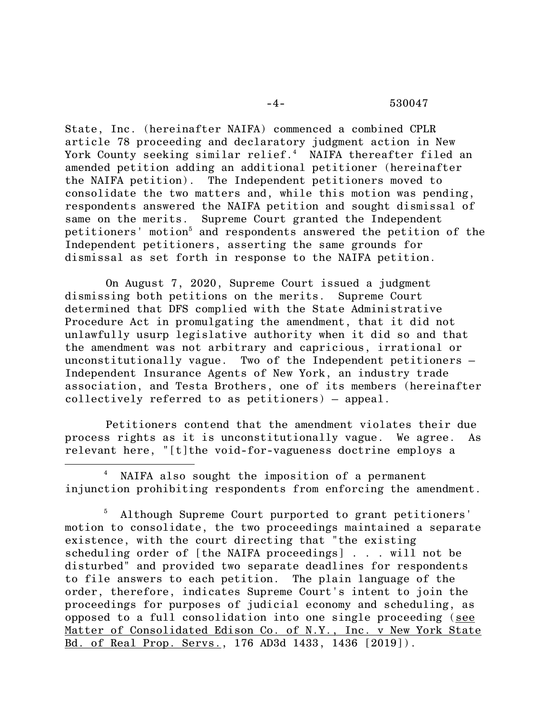## -4- 530047

State, Inc. (hereinafter NAIFA) commenced a combined CPLR article 78 proceeding and declaratory judgment action in New York County seeking similar relief. <sup>4</sup> NAIFA thereafter filed an amended petition adding an additional petitioner (hereinafter the NAIFA petition). The Independent petitioners moved to consolidate the two matters and, while this motion was pending, respondents answered the NAIFA petition and sought dismissal of same on the merits. Supreme Court granted the Independent petitioners' motion<sup>5</sup> and respondents answered the petition of the Independent petitioners, asserting the same grounds for dismissal as set forth in response to the NAIFA petition.

On August 7, 2020, Supreme Court issued a judgment dismissing both petitions on the merits. Supreme Court determined that DFS complied with the State Administrative Procedure Act in promulgating the amendment, that it did not unlawfully usurp legislative authority when it did so and that the amendment was not arbitrary and capricious, irrational or unconstitutionally vague. Two of the Independent petitioners – Independent Insurance Agents of New York, an industry trade association, and Testa Brothers, one of its members (hereinafter collectively referred to as petitioners) – appeal.

Petitioners contend that the amendment violates their due process rights as it is unconstitutionally vague. We agree. As relevant here, "[t]the void-for-vagueness doctrine employs a

<sup>4</sup> NAIFA also sought the imposition of a permanent injunction prohibiting respondents from enforcing the amendment.

Although Supreme Court purported to grant petitioners' motion to consolidate, the two proceedings maintained a separate existence, with the court directing that "the existing scheduling order of [the NAIFA proceedings] . . . will not be disturbed" and provided two separate deadlines for respondents to file answers to each petition. The plain language of the order, therefore, indicates Supreme Court's intent to join the proceedings for purposes of judicial economy and scheduling, as opposed to a full consolidation into one single proceeding (see Matter of Consolidated Edison Co. of N.Y., Inc. v New York State Bd. of Real Prop. Servs., 176 AD3d 1433, 1436 [2019]).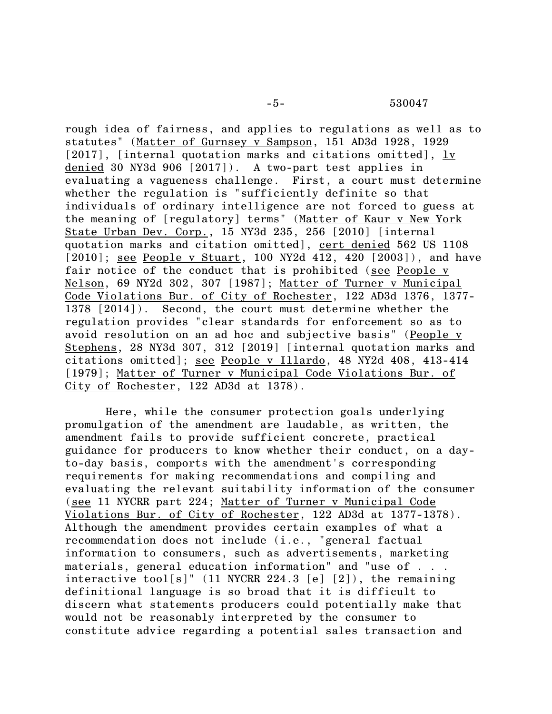rough idea of fairness, and applies to regulations as well as to statutes" (Matter of Gurnsey v Sampson, 151 AD3d 1928, 1929 [2017], [internal quotation marks and citations omitted], lv denied 30 NY3d 906 [2017]). A two-part test applies in evaluating a vagueness challenge. First, a court must determine whether the regulation is "sufficiently definite so that individuals of ordinary intelligence are not forced to guess at the meaning of [regulatory] terms" (Matter of Kaur v New York State Urban Dev. Corp., 15 NY3d 235, 256 [2010] [internal quotation marks and citation omitted], cert denied 562 US 1108 [2010]; see People v Stuart, 100 NY2d 412, 420 [2003]), and have fair notice of the conduct that is prohibited (see People v Nelson, 69 NY2d 302, 307 [1987]; Matter of Turner v Municipal Code Violations Bur. of City of Rochester, 122 AD3d 1376, 1377- 1378 [2014]). Second, the court must determine whether the regulation provides "clear standards for enforcement so as to avoid resolution on an ad hoc and subjective basis" (People v Stephens, 28 NY3d 307, 312 [2019] [internal quotation marks and citations omitted]; see People v Illardo, 48 NY2d 408, 413-414 [1979]; Matter of Turner v Municipal Code Violations Bur. of City of Rochester, 122 AD3d at 1378).

Here, while the consumer protection goals underlying promulgation of the amendment are laudable, as written, the amendment fails to provide sufficient concrete, practical guidance for producers to know whether their conduct, on a dayto-day basis, comports with the amendment's corresponding requirements for making recommendations and compiling and evaluating the relevant suitability information of the consumer (see 11 NYCRR part 224; Matter of Turner v Municipal Code Violations Bur. of City of Rochester, 122 AD3d at 1377-1378). Although the amendment provides certain examples of what a recommendation does not include (i.e., "general factual information to consumers, such as advertisements, marketing materials, general education information" and "use of . . . interactive tool[s]" (11 NYCRR 224.3 [e] [2]), the remaining definitional language is so broad that it is difficult to discern what statements producers could potentially make that would not be reasonably interpreted by the consumer to constitute advice regarding a potential sales transaction and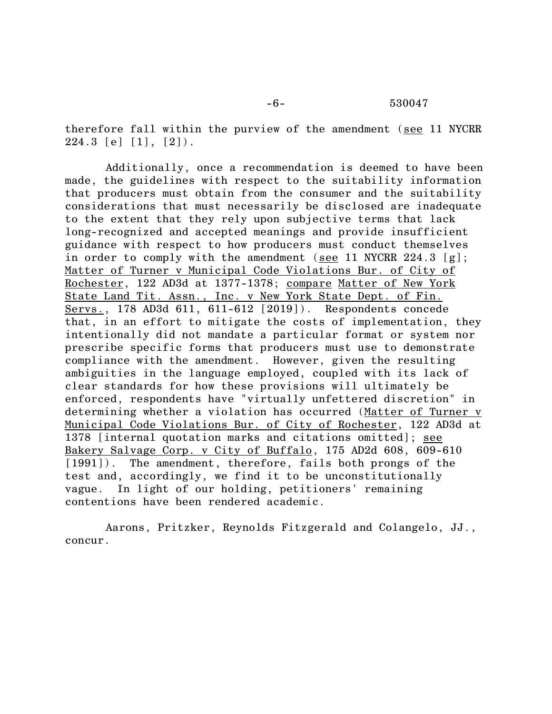therefore fall within the purview of the amendment (see 11 NYCRR  $224.3$  [e]  $[1]$ ,  $[2]$ ).

Additionally, once a recommendation is deemed to have been made, the guidelines with respect to the suitability information that producers must obtain from the consumer and the suitability considerations that must necessarily be disclosed are inadequate to the extent that they rely upon subjective terms that lack long-recognized and accepted meanings and provide insufficient guidance with respect to how producers must conduct themselves in order to comply with the amendment (see 11 NYCRR 224.3 [g]; Matter of Turner v Municipal Code Violations Bur. of City of Rochester, 122 AD3d at 1377-1378; compare Matter of New York State Land Tit. Assn., Inc. v New York State Dept. of Fin. Servs., 178 AD3d 611, 611-612 [2019]). Respondents concede that, in an effort to mitigate the costs of implementation, they intentionally did not mandate a particular format or system nor prescribe specific forms that producers must use to demonstrate compliance with the amendment. However, given the resulting ambiguities in the language employed, coupled with its lack of clear standards for how these provisions will ultimately be enforced, respondents have "virtually unfettered discretion" in determining whether a violation has occurred (Matter of Turner v Municipal Code Violations Bur. of City of Rochester, 122 AD3d at 1378 [internal quotation marks and citations omitted]; see Bakery Salvage Corp. v City of Buffalo, 175 AD2d 608, 609-610 [1991]). The amendment, therefore, fails both prongs of the test and, accordingly, we find it to be unconstitutionally vague. In light of our holding, petitioners' remaining contentions have been rendered academic.

Aarons, Pritzker, Reynolds Fitzgerald and Colangelo, JJ., concur.